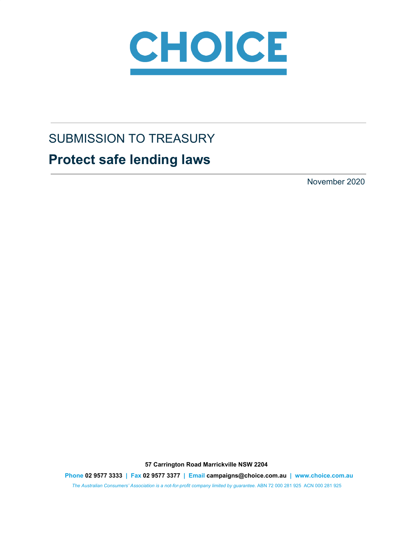

# SUBMISSION TO TREASURY

# **Protect safe lending laws**

November 2020

**57 Carrington Road Marrickville NSW 2204**

**Phone 02 9577 3333 | Fax 02 9577 3377 | Email campaigns@choice.com.au | www.choice.com.au**

*The Australian Consumers' Association is a not-for-profit company limited by guarantee.* ABN 72 000 281 925 ACN 000 281 925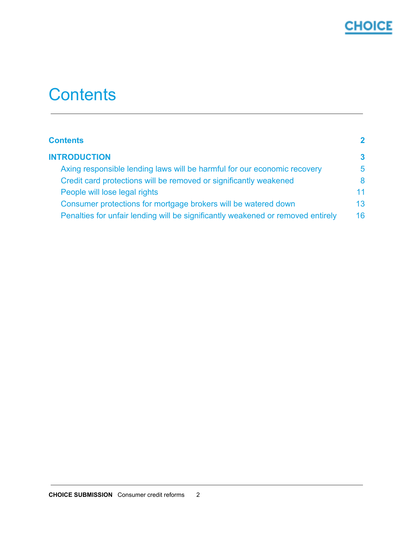

# <span id="page-1-0"></span>**Contents**

| <b>Contents</b>                                                                 | $\mathbf{2}$ |
|---------------------------------------------------------------------------------|--------------|
| <b>INTRODUCTION</b>                                                             | 3            |
| Axing responsible lending laws will be harmful for our economic recovery        | 5            |
| Credit card protections will be removed or significantly weakened               | 8            |
| People will lose legal rights                                                   | 11           |
| Consumer protections for mortgage brokers will be watered down                  | 13.          |
| Penalties for unfair lending will be significantly weakened or removed entirely | 16           |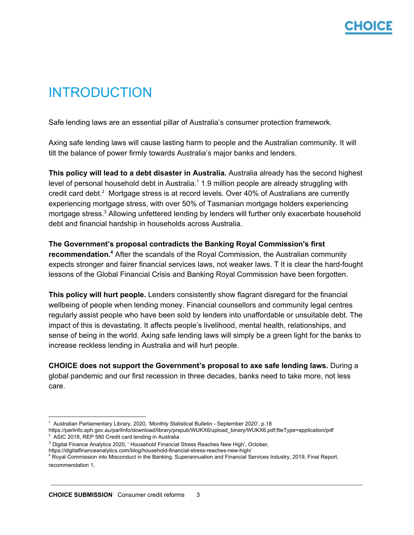# <span id="page-2-0"></span>INTRODUCTION

Safe lending laws are an essential pillar of Australia's consumer protection framework.

Axing safe lending laws will cause lasting harm to people and the Australian community. It will tilt the balance of power firmly towards Australia's major banks and lenders.

**This policy will lead to a debt disaster in Australia.** Australia already has the second highest level of personal household debt in Australia. $1$  1.9 million people are already struggling with credit card debt. $2$  Mortgage stress is at record levels. Over 40% of Australians are currently experiencing mortgage stress, with over 50% of Tasmanian mortgage holders experiencing mortgage stress.<sup>3</sup> Allowing unfettered lending by lenders will further only exacerbate household debt and financial hardship in households across Australia.

### **The Government's proposal contradicts the Banking Royal Commission's first** recommendation.<sup>4</sup> After the scandals of the Royal Commission, the Australian community expects stronger and fairer financial services laws, not weaker laws. T It is clear the hard-fought lessons of the Global Financial Crisis and Banking Royal Commission have been forgotten.

**This policy will hurt people.** Lenders consistently show flagrant disregard for the financial wellbeing of people when lending money. Financial counsellors and community legal centres regularly assist people who have been sold by lenders into unaffordable or unsuitable debt. The impact of this is devastating. It affects people's livelihood, mental health, relationships, and sense of being in the world. Axing safe lending laws will simply be a green light for the banks to increase reckless lending in Australia and will hurt people.

**CHOICE does not support the Government's proposal to axe safe lending laws.** During a global pandemic and our first recession in three decades, banks need to take more, not less care.

<sup>&</sup>lt;sup>1</sup> Australian Parliamentary Library, 2020, 'Monthly Statistical Bulletin - September 2020', p.18

https://parlinfo.aph.gov.au/parlInfo/download/library/prspub/WUKX6/upload\_binary/WUKX6.pdf;fileType=application/pdf  $2$  ASIC 2018, REP 580 Credit card lending in Australia

<sup>3</sup> Digital Finance Analytics 2020, ' Household Financial Stress Reaches New High', October,

https://digitalfinanceanalytics.com/blog/household-financial-stress-reaches-new-high/

<sup>4</sup> Royal Commission into Misconduct in the Banking, Superannuation and Financial Services Industry, 2019, Final Report, recommendation 1.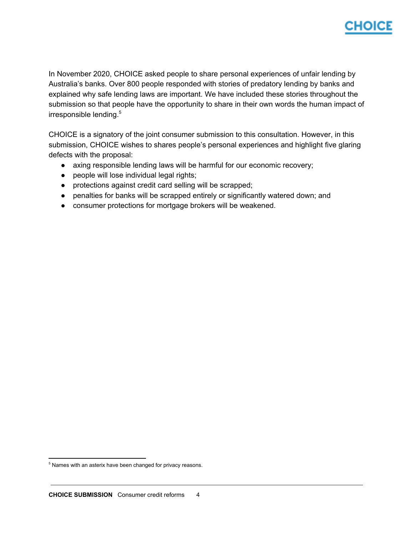

In November 2020, CHOICE asked people to share personal experiences of unfair lending by Australia's banks. Over 800 people responded with stories of predatory lending by banks and explained why safe lending laws are important. We have included these stories throughout the submission so that people have the opportunity to share in their own words the human impact of irresponsible lending. 5

CHOICE is a signatory of the joint consumer submission to this consultation. However, in this submission, CHOICE wishes to shares people's personal experiences and highlight five glaring defects with the proposal:

- axing responsible lending laws will be harmful for our economic recovery;
- people will lose individual legal rights;
- protections against credit card selling will be scrapped;
- penalties for banks will be scrapped entirely or significantly watered down; and
- consumer protections for mortgage brokers will be weakened.

<sup>&</sup>lt;sup>5</sup> Names with an asterix have been changed for privacy reasons.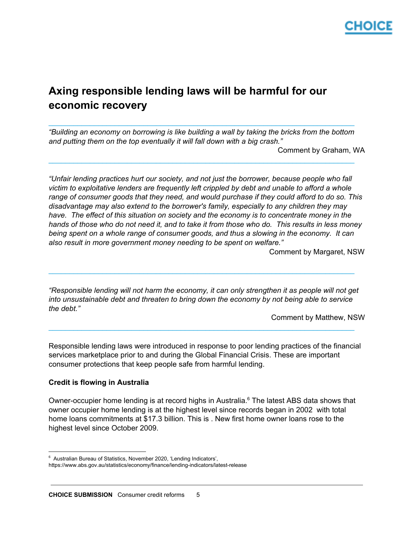

## <span id="page-4-0"></span>**Axing responsible lending laws will be harmful for our economic recovery**

*"Building an economy on borrowing is like building a wall by taking the bricks from the bottom and putting them on the top eventually it will fall down with a big crash."*

 $\_$  ,  $\_$  ,  $\_$  ,  $\_$  ,  $\_$  ,  $\_$  ,  $\_$  ,  $\_$  ,  $\_$  ,  $\_$  ,  $\_$  ,  $\_$  ,  $\_$  ,  $\_$  ,  $\_$  ,  $\_$  ,  $\_$  ,  $\_$  ,  $\_$  ,  $\_$  ,  $\_$  ,  $\_$  ,  $\_$  ,  $\_$  ,  $\_$  ,  $\_$  ,  $\_$  ,  $\_$  ,  $\_$  ,  $\_$  ,  $\_$  ,  $\_$  ,  $\_$  ,  $\_$  ,  $\_$  ,  $\_$  ,  $\_$  ,

 $\_$  ,  $\_$  ,  $\_$  ,  $\_$  ,  $\_$  ,  $\_$  ,  $\_$  ,  $\_$  ,  $\_$  ,  $\_$  ,  $\_$  ,  $\_$  ,  $\_$  ,  $\_$  ,  $\_$  ,  $\_$  ,  $\_$  ,  $\_$  ,  $\_$  ,  $\_$  ,  $\_$  ,  $\_$  ,  $\_$  ,  $\_$  ,  $\_$  ,  $\_$  ,  $\_$  ,  $\_$  ,  $\_$  ,  $\_$  ,  $\_$  ,  $\_$  ,  $\_$  ,  $\_$  ,  $\_$  ,  $\_$  ,  $\_$  ,

Comment by Graham, WA

*"Unfair lending practices hurt our society, and not just the borrower, because people who fall victim to exploitative lenders are frequently left crippled by debt and unable to afford a whole range of consumer goods that they need, and would purchase if they could afford to do so. This disadvantage may also extend to the borrower's family, especially to any children they may have. The effect of this situation on society and the economy is to concentrate money in the* hands of those who do not need it, and to take it from those who do. This results in less money *being spent on a whole range of consumer goods, and thus a slowing in the economy. It can also result in more government money needing to be spent on welfare."*

Comment by Margaret, NSW

*"Responsible lending will not harm the economy, it can only strengthen it as people will not get into unsustainable debt and threaten to bring down the economy by not being able to service the debt."*

 $\_$  ,  $\_$  ,  $\_$  ,  $\_$  ,  $\_$  ,  $\_$  ,  $\_$  ,  $\_$  ,  $\_$  ,  $\_$  ,  $\_$  ,  $\_$  ,  $\_$  ,  $\_$  ,  $\_$  ,  $\_$  ,  $\_$  ,  $\_$  ,  $\_$  ,  $\_$  ,  $\_$  ,  $\_$  ,  $\_$  ,  $\_$  ,  $\_$  ,  $\_$  ,  $\_$  ,  $\_$  ,  $\_$  ,  $\_$  ,  $\_$  ,  $\_$  ,  $\_$  ,  $\_$  ,  $\_$  ,  $\_$  ,  $\_$  ,

 $\_$  ,  $\_$  ,  $\_$  ,  $\_$  ,  $\_$  ,  $\_$  ,  $\_$  ,  $\_$  ,  $\_$  ,  $\_$  ,  $\_$  ,  $\_$  ,  $\_$  ,  $\_$  ,  $\_$  ,  $\_$  ,  $\_$  ,  $\_$  ,  $\_$  ,  $\_$  ,  $\_$  ,  $\_$  ,  $\_$  ,  $\_$  ,  $\_$  ,  $\_$  ,  $\_$  ,  $\_$  ,  $\_$  ,  $\_$  ,  $\_$  ,  $\_$  ,  $\_$  ,  $\_$  ,  $\_$  ,  $\_$  ,  $\_$  ,

Comment by Matthew, NSW

Responsible lending laws were introduced in response to poor lending practices of the financial services marketplace prior to and during the Global Financial Crisis. These are important consumer protections that keep people safe from harmful lending.

### **Credit is flowing in Australia**

Owner-occupier home lending is at record highs in Australia. $6$  The latest ABS data shows that owner occupier home lending is at the highest level since records began in 2002 with total home loans commitments at \$17.3 billion. This is . New first home owner loans rose to the highest level since October 2009.

<sup>&</sup>lt;sup>6</sup> Australian Bureau of Statistics, November 2020, 'Lending Indicators',

https://www.abs.gov.au/statistics/economy/finance/lending-indicators/latest-release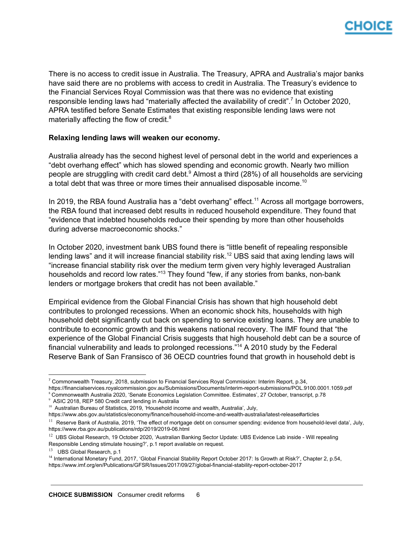

There is no access to credit issue in Australia. The Treasury, APRA and Australia's major banks have said there are no problems with access to credit in Australia. The Treasury's evidence to the Financial Services Royal Commission was that there was no evidence that existing responsible lending laws had "materially affected the availability of credit".<sup>7</sup> In October 2020, APRA testified before Senate Estimates that existing responsible lending laws were not materially affecting the flow of credit. $8$ 

### **Relaxing lending laws will weaken our economy.**

Australia already has the second highest level of personal debt in the world and experiences a "debt overhang effect" which has slowed spending and economic growth. Nearly two million people are struggling with credit card debt. $9$  Almost a third (28%) of all households are servicing a total debt that was three or more times their annualised disposable income.<sup>10</sup>

In 2019, the RBA found Australia has a "debt overhang" effect.<sup>11</sup> Across all mortgage borrowers, the RBA found that increased debt results in reduced household expenditure. They found that "evidence that indebted households reduce their spending by more than other households during adverse macroeconomic shocks."

In October 2020, investment bank UBS found there is "little benefit of repealing responsible lending laws" and it will increase financial stability risk.<sup>12</sup> UBS said that axing lending laws will "increase financial stability risk over the medium term given very highly leveraged Australian households and record low rates."<sup>13</sup> They found "few, if any stories from banks, non-bank lenders or mortgage brokers that credit has not been available."

Empirical evidence from the Global Financial Crisis has shown that high household debt contributes to prolonged recessions. When an economic shock hits, households with high household debt significantly cut back on spending to service existing loans. They are unable to contribute to economic growth and this weakens national recovery. The IMF found that "the experience of the Global Financial Crisis suggests that high household debt can be a source of financial vulnerability and leads to prolonged recessions."<sup>14</sup> A 2010 study by the Federal Reserve Bank of San Fransisco of 36 OECD countries found that growth in household debt is

<sup>8</sup> Commonwealth Australia 2020, 'Senate Economics Legislation Committee. Estimates', 27 October, transcript, p.78

<sup>7</sup> Commonwealth Treasury, 2018, submission to Financial Services Royal Commission: Interim Report, p.34,

https://financialservices.royalcommission.gov.au/Submissions/Documents/interim-report-submissions/POL.9100.0001.1059.pdf

<sup>9</sup> ASIC 2018, REP 580 Credit card lending in Australia

<sup>&</sup>lt;sup>10</sup> Australian Bureau of Statistics, 2019, 'Household income and wealth, Australia', July,

https://www.abs.gov.au/statistics/economy/finance/household-income-and-wealth-australia/latest-release#articles

<sup>&</sup>lt;sup>11</sup> Reserve Bank of Australia, 2019, 'The effect of mortgage debt on consumer spending: evidence from household-level data', July, https://www.rba.gov.au/publications/rdp/2019/2019-06.html

<sup>&</sup>lt;sup>12</sup> UBS Global Research, 19 October 2020, 'Australian Banking Sector Update: UBS Evidence Lab inside - Will repealing Responsible Lending stimulate housing?', p.1 report available on request.

<sup>&</sup>lt;sup>13</sup> UBS Global Research, p.1

<sup>&</sup>lt;sup>14</sup> International Monetary Fund, 2017, 'Global Financial Stability Report October 2017: Is Growth at Risk?', Chapter 2, p.54, https://www.imf.org/en/Publications/GFSR/Issues/2017/09/27/global-financial-stability-report-october-2017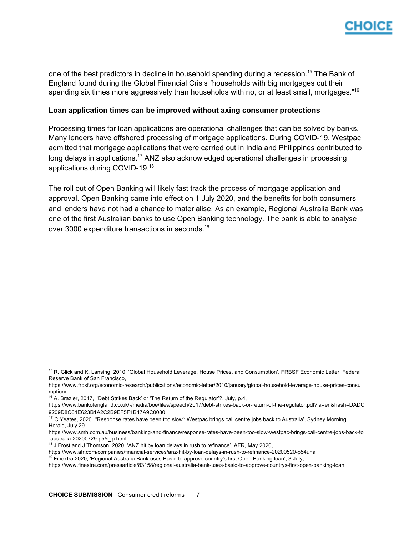

one of the best predictors in decline in household spending during a recession.<sup>15</sup> The Bank of England found during the Global Financial Crisis *"*households with big mortgages cut their spending six times more aggressively than households with no, or at least small, mortgages*.*" 16

### **Loan application times can be improved without axing consumer protections**

Processing times for loan applications are operational challenges that can be solved by banks. Many lenders have offshored processing of mortgage applications. During COVID-19, Westpac admitted that mortgage applications that were carried out in India and Philippines contributed to long delays in applications.<sup>17</sup> ANZ also acknowledged operational challenges in processing applications during COVID-19.<sup>18</sup>

The roll out of Open Banking will likely fast track the process of mortgage application and approval. Open Banking came into effect on 1 July 2020, and the benefits for both consumers and lenders have not had a chance to materialise. As an example, Regional Australia Bank was one of the first Australian banks to use Open Banking technology. The bank is able to analyse over 3000 expenditure transactions in seconds.<sup>19</sup>

 $16$  A. Brazier, 2017, "Debt Strikes Back' or 'The Return of the Regulator'?, July, p.4,

<sup>&</sup>lt;sup>15</sup> R. Glick and K. Lansing, 2010, 'Global Household Leverage, House Prices, and Consumption', FRBSF Economic Letter, Federal Reserve Bank of San Francisco,

https://www.frbsf.org/economic-research/publications/economic-letter/2010/january/global-household-leverage-house-prices-consu mption/

https://www.bankofengland.co.uk/-/media/boe/files/speech/2017/debt-strikes-back-or-return-of-the-regulator.pdf?la=en&hash=DADC 9209D8C64E623B1A2C2B9EF5F1B47A9C0080

<sup>&</sup>lt;sup>17</sup> C Yeates, 2020 "Response rates have been too slow': Westpac brings call centre jobs back to Australia', Sydney Morning Herald, July 29

https://www.smh.com.au/business/banking-and-finance/response-rates-have-been-too-slow-westpac-brings-call-centre-jobs-back-to -australia-20200729-p55gjp.html

<sup>&</sup>lt;sup>18</sup> J Frost and J Thomson, 2020, 'ANZ hit by loan delays in rush to refinance', AFR, May 2020,

https://www.afr.com/companies/financial-services/anz-hit-by-loan-delays-in-rush-to-refinance-20200520-p54una

<sup>&</sup>lt;sup>19</sup> Finextra 2020, 'Regional Australia Bank uses Basig to approve country's first Open Banking loan', 3 July,

https://www.finextra.com/pressarticle/83158/regional-australia-bank-uses-basiq-to-approve-countrys-first-open-banking-loan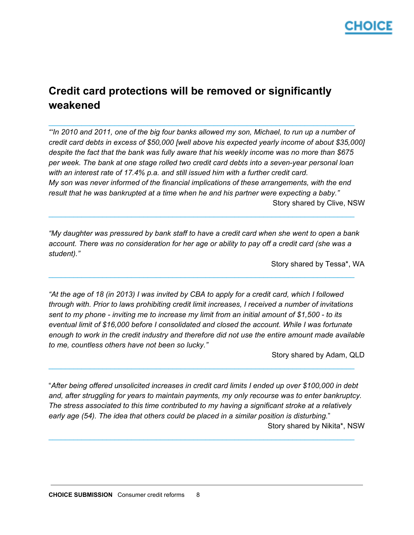

## <span id="page-7-0"></span>**Credit card protections will be removed or significantly weakened**

"In 2010 and 2011, one of the big four banks allowed my son, Michael, to run up a number of *credit card debts in excess of \$50,000 [well above his expected yearly income of about \$35,000] despite the fact that the bank was fully aware that his weekly income was no more than \$675 per week. The bank at one stage rolled two credit card debts into a seven-year personal loan with an interest rate of 17.4% p.a. and still issued him with a further credit card. My son was never informed of the financial implications of these arrangements, with the end result that he was bankrupted at a time when he and his partner were expecting a baby."* Story shared by Clive, NSW

 $\_$  ,  $\_$  ,  $\_$  ,  $\_$  ,  $\_$  ,  $\_$  ,  $\_$  ,  $\_$  ,  $\_$  ,  $\_$  ,  $\_$  ,  $\_$  ,  $\_$  ,  $\_$  ,  $\_$  ,  $\_$  ,  $\_$  ,  $\_$  ,  $\_$  ,  $\_$  ,  $\_$  ,  $\_$  ,  $\_$  ,  $\_$  ,  $\_$  ,  $\_$  ,  $\_$  ,  $\_$  ,  $\_$  ,  $\_$  ,  $\_$  ,  $\_$  ,  $\_$  ,  $\_$  ,  $\_$  ,  $\_$  ,  $\_$  ,

*"My daughter was pressured by bank staff to have a credit card when she went to open a bank* account. There was no consideration for her age or ability to pay off a credit card (she was a *student)."*

 $\_$  ,  $\_$  ,  $\_$  ,  $\_$  ,  $\_$  ,  $\_$  ,  $\_$  ,  $\_$  ,  $\_$  ,  $\_$  ,  $\_$  ,  $\_$  ,  $\_$  ,  $\_$  ,  $\_$  ,  $\_$  ,  $\_$  ,  $\_$  ,  $\_$  ,  $\_$  ,  $\_$  ,  $\_$  ,  $\_$  ,  $\_$  ,  $\_$  ,  $\_$  ,  $\_$  ,  $\_$  ,  $\_$  ,  $\_$  ,  $\_$  ,  $\_$  ,  $\_$  ,  $\_$  ,  $\_$  ,  $\_$  ,  $\_$  ,

 $\_$  ,  $\_$  ,  $\_$  ,  $\_$  ,  $\_$  ,  $\_$  ,  $\_$  ,  $\_$  ,  $\_$  ,  $\_$  ,  $\_$  ,  $\_$  ,  $\_$  ,  $\_$  ,  $\_$  ,  $\_$  ,  $\_$  ,  $\_$  ,  $\_$  ,  $\_$  ,  $\_$  ,  $\_$  ,  $\_$  ,  $\_$  ,  $\_$  ,  $\_$  ,  $\_$  ,  $\_$  ,  $\_$  ,  $\_$  ,  $\_$  ,  $\_$  ,  $\_$  ,  $\_$  ,  $\_$  ,  $\_$  ,  $\_$  ,

Story shared by Tessa\*, WA

"At the age of 18 (in 2013) I was invited by CBA to apply for a credit card, which I followed *through with. Prior to laws prohibiting credit limit increases, I received a number of invitations* sent to my phone - inviting me to increase my limit from an initial amount of \$1,500 - to its *eventual limit of \$16,000 before I consolidated and closed the account. While I was fortunate enough to work in the credit industry and therefore did not use the entire amount made available to me, countless others have not been so lucky."*

Story shared by Adam, QLD

"*After being offered unsolicited increases in credit card limits I ended up over \$100,000 in debt and, after struggling for years to maintain payments, my only recourse was to enter bankruptcy. The stress associated to this time contributed to my having a significant stroke at a relatively early age (54). The idea that others could be placed in a similar position is disturbing.*" Story shared by Nikita\*, NSW

 $\_$  ,  $\_$  ,  $\_$  ,  $\_$  ,  $\_$  ,  $\_$  ,  $\_$  ,  $\_$  ,  $\_$  ,  $\_$  ,  $\_$  ,  $\_$  ,  $\_$  ,  $\_$  ,  $\_$  ,  $\_$  ,  $\_$  ,  $\_$  ,  $\_$  ,  $\_$  ,  $\_$  ,  $\_$  ,  $\_$  ,  $\_$  ,  $\_$  ,  $\_$  ,  $\_$  ,  $\_$  ,  $\_$  ,  $\_$  ,  $\_$  ,  $\_$  ,  $\_$  ,  $\_$  ,  $\_$  ,  $\_$  ,  $\_$  ,

 $\_$  ,  $\_$  ,  $\_$  ,  $\_$  ,  $\_$  ,  $\_$  ,  $\_$  ,  $\_$  ,  $\_$  ,  $\_$  ,  $\_$  ,  $\_$  ,  $\_$  ,  $\_$  ,  $\_$  ,  $\_$  ,  $\_$  ,  $\_$  ,  $\_$  ,  $\_$  ,  $\_$  ,  $\_$  ,  $\_$  ,  $\_$  ,  $\_$  ,  $\_$  ,  $\_$  ,  $\_$  ,  $\_$  ,  $\_$  ,  $\_$  ,  $\_$  ,  $\_$  ,  $\_$  ,  $\_$  ,  $\_$  ,  $\_$  ,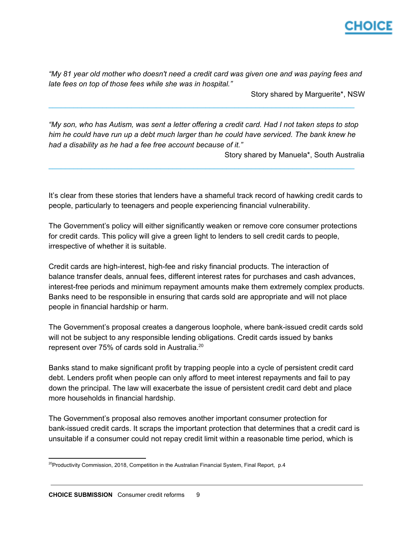

*"My 81 year old mother who doesn't need a credit card was given one and was paying fees and late fees on top of those fees while she was in hospital."*

Story shared by Marguerite\*, NSW

"My son, who has Autism, was sent a letter offering a credit card. Had I not taken steps to stop *him he could have run up a debt much larger than he could have serviced. The bank knew he had a disability as he had a fee free account because of it."*

 $\_$  ,  $\_$  ,  $\_$  ,  $\_$  ,  $\_$  ,  $\_$  ,  $\_$  ,  $\_$  ,  $\_$  ,  $\_$  ,  $\_$  ,  $\_$  ,  $\_$  ,  $\_$  ,  $\_$  ,  $\_$  ,  $\_$  ,  $\_$  ,  $\_$  ,  $\_$  ,  $\_$  ,  $\_$  ,  $\_$  ,  $\_$  ,  $\_$  ,  $\_$  ,  $\_$  ,  $\_$  ,  $\_$  ,  $\_$  ,  $\_$  ,  $\_$  ,  $\_$  ,  $\_$  ,  $\_$  ,  $\_$  ,  $\_$  ,

 $\_$  ,  $\_$  ,  $\_$  ,  $\_$  ,  $\_$  ,  $\_$  ,  $\_$  ,  $\_$  ,  $\_$  ,  $\_$  ,  $\_$  ,  $\_$  ,  $\_$  ,  $\_$  ,  $\_$  ,  $\_$  ,  $\_$  ,  $\_$  ,  $\_$  ,  $\_$  ,  $\_$  ,  $\_$  ,  $\_$  ,  $\_$  ,  $\_$  ,  $\_$  ,  $\_$  ,  $\_$  ,  $\_$  ,  $\_$  ,  $\_$  ,  $\_$  ,  $\_$  ,  $\_$  ,  $\_$  ,  $\_$  ,  $\_$  ,

Story shared by Manuela\*, South Australia

It's clear from these stories that lenders have a shameful track record of hawking credit cards to people, particularly to teenagers and people experiencing financial vulnerability.

The Government's policy will either significantly weaken or remove core consumer protections for credit cards. This policy will give a green light to lenders to sell credit cards to people, irrespective of whether it is suitable.

Credit cards are high-interest, high-fee and risky financial products. The interaction of balance transfer deals, annual fees, different interest rates for purchases and cash advances, interest-free periods and minimum repayment amounts make them extremely complex products. Banks need to be responsible in ensuring that cards sold are appropriate and will not place people in financial hardship or harm.

The Government's proposal creates a dangerous loophole, where bank-issued credit cards sold will not be subject to any responsible lending obligations. Credit cards issued by banks represent over 75% of cards sold in Australia.<sup>20</sup>

Banks stand to make significant profit by trapping people into a cycle of persistent credit card debt. Lenders profit when people can only afford to meet interest repayments and fail to pay down the principal. The law will exacerbate the issue of persistent credit card debt and place more households in financial hardship.

The Government's proposal also removes another important consumer protection for bank-issued credit cards. It scraps the important protection that determines that a credit card is unsuitable if a consumer could not repay credit limit within a reasonable time period, which is

<sup>&</sup>lt;sup>20</sup>Productivity Commission, 2018, Competition in the Australian Financial System, Final Report, p.4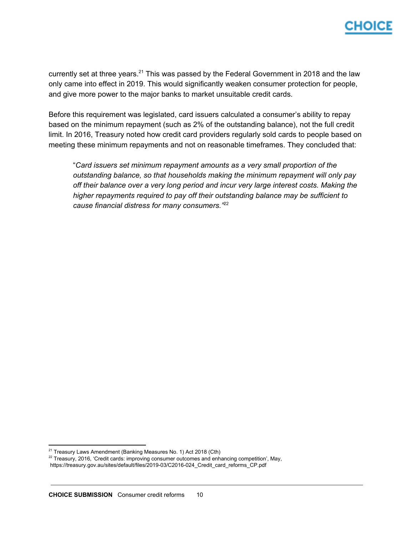currently set at three years.<sup>21</sup> This was passed by the Federal Government in 2018 and the law only came into effect in 2019. This would significantly weaken consumer protection for people, and give more power to the major banks to market unsuitable credit cards.

Before this requirement was legislated, card issuers calculated a consumer's ability to repay based on the minimum repayment (such as 2% of the outstanding balance), not the full credit limit. In 2016, Treasury noted how credit card providers regularly sold cards to people based on meeting these minimum repayments and not on reasonable timeframes. They concluded that:

"*Card issuers set minimum repayment amounts as a very small proportion of the outstanding balance, so that households making the minimum repayment will only pay off their balance over a very long period and incur very large interest costs. Making the higher repayments required to pay off their outstanding balance may be sufficient to cause financial distress for many consumers."* 22

<sup>&</sup>lt;sup>21</sup> Treasury Laws Amendment (Banking Measures No. 1) Act 2018 (Cth)

<sup>&</sup>lt;sup>22</sup> Treasury, 2016, 'Credit cards: improving consumer outcomes and enhancing competition', May,

https://treasury.gov.au/sites/default/files/2019-03/C2016-024\_Credit\_card\_reforms\_CP.pdf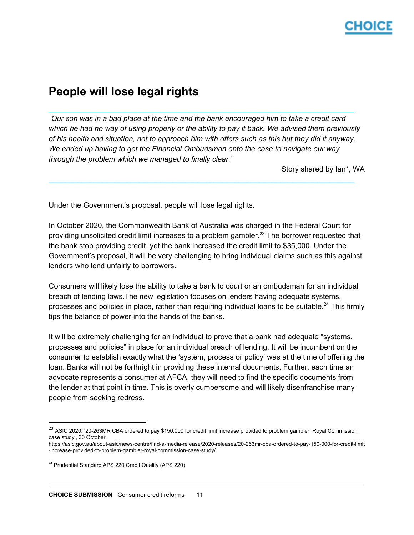# **People will lose legal rights**

"Our son was in a bad place at the time and the bank encouraged him to take a credit card which he had no way of using properly or the ability to pay it back. We advised them previously of his health and situation, not to approach him with offers such as this but they did it anyway. *We ended up having to get the Financial Ombudsman onto the case to navigate our way through the problem which we managed to finally clear."*

 $\_$  ,  $\_$  ,  $\_$  ,  $\_$  ,  $\_$  ,  $\_$  ,  $\_$  ,  $\_$  ,  $\_$  ,  $\_$  ,  $\_$  ,  $\_$  ,  $\_$  ,  $\_$  ,  $\_$  ,  $\_$  ,  $\_$  ,  $\_$  ,  $\_$  ,  $\_$  ,  $\_$  ,  $\_$  ,  $\_$  ,  $\_$  ,  $\_$  ,  $\_$  ,  $\_$  ,  $\_$  ,  $\_$  ,  $\_$  ,  $\_$  ,  $\_$  ,  $\_$  ,  $\_$  ,  $\_$  ,  $\_$  ,  $\_$  ,

 $\_$  ,  $\_$  ,  $\_$  ,  $\_$  ,  $\_$  ,  $\_$  ,  $\_$  ,  $\_$  ,  $\_$  ,  $\_$  ,  $\_$  ,  $\_$  ,  $\_$  ,  $\_$  ,  $\_$  ,  $\_$  ,  $\_$  ,  $\_$  ,  $\_$  ,  $\_$  ,  $\_$  ,  $\_$  ,  $\_$  ,  $\_$  ,  $\_$  ,  $\_$  ,  $\_$  ,  $\_$  ,  $\_$  ,  $\_$  ,  $\_$  ,  $\_$  ,  $\_$  ,  $\_$  ,  $\_$  ,  $\_$  ,  $\_$  ,

Story shared by Ian\*, WA

Under the Government's proposal, people will lose legal rights.

In October 2020, the Commonwealth Bank of Australia was charged in the Federal Court for providing unsolicited credit limit increases to a problem gambler.<sup>23</sup> The borrower requested that the bank stop providing credit, yet the bank increased the credit limit to \$35,000. Under the Government's proposal, it will be very challenging to bring individual claims such as this against lenders who lend unfairly to borrowers.

Consumers will likely lose the ability to take a bank to court or an ombudsman for an individual breach of lending laws.The new legislation focuses on lenders having adequate systems, processes and policies in place, rather than requiring individual loans to be suitable.<sup>24</sup> This firmly tips the balance of power into the hands of the banks.

It will be extremely challenging for an individual to prove that a bank had adequate "systems, processes and policies" in place for an individual breach of lending. It will be incumbent on the consumer to establish exactly what the 'system, process or policy' was at the time of offering the loan. Banks will not be forthright in providing these internal documents. Further, each time an advocate represents a consumer at AFCA, they will need to find the specific documents from the lender at that point in time. This is overly cumbersome and will likely disenfranchise many people from seeking redress.

<sup>&</sup>lt;sup>23</sup> ASIC 2020, '20-263MR CBA ordered to pay \$150,000 for credit limit increase provided to problem gambler: Royal Commission case study', 30 October,

https://asic.gov.au/about-asic/news-centre/find-a-media-release/2020-releases/20-263mr-cba-ordered-to-pay-150-000-for-credit-limit -increase-provided-to-problem-gambler-royal-commission-case-study/

<sup>24</sup> Prudential Standard APS 220 Credit Quality (APS 220)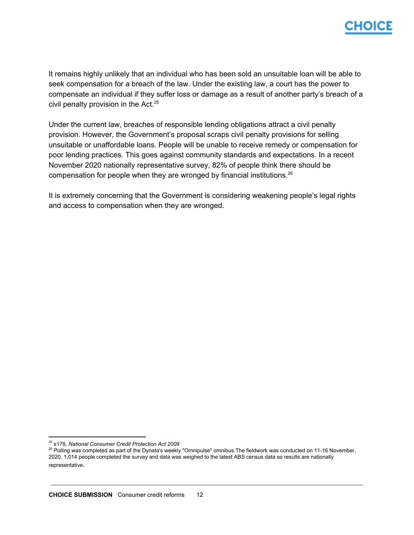

It remains highly unlikely that an individual who has been sold an unsuitable loan will be able to seek compensation for a breach of the law. Under the existing law, a court has the power to compensate an individual if they suffer loss or damage as a result of another party's breach of a civil penalty provision in the Act. 25

Under the current law, breaches of responsible lending obligations attract a civil penalty provision. However, the Government's proposal scraps civil penalty provisions for selling unsuitable or unaffordable loans. People will be unable to receive remedy or compensation for poor lending practices. This goes against community standards and expectations. In a recent November 2020 nationally representative survey, 82% of people think there should be compensation for people when they are wronged by financial institutions.<sup>26</sup>

It is extremely concerning that the Government is considering weakening people's legal rights and access to compensation when they are wronged.

<sup>25</sup> s178, *National Consumer Credit Protection Act 2009*

<sup>&</sup>lt;sup>26</sup> Polling was completed as part of the Dynata's weekly "Omnipulse" omnibus. The fieldwork was conducted on 11-16 November, 2020. 1,014 people completed the survey and data was weighed to the latest ABS census data so results are nationally representative.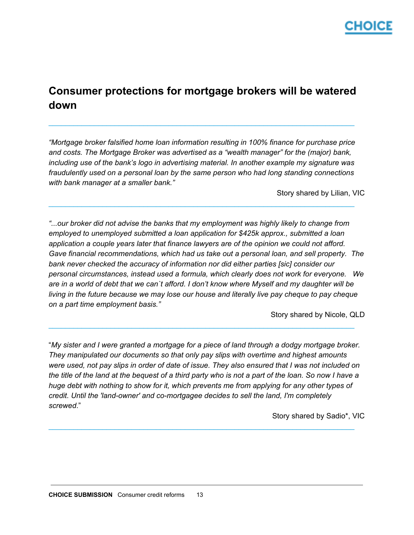

## <span id="page-12-0"></span>**Consumer protections for mortgage brokers will be watered down**

 $\_$  ,  $\_$  ,  $\_$  ,  $\_$  ,  $\_$  ,  $\_$  ,  $\_$  ,  $\_$  ,  $\_$  ,  $\_$  ,  $\_$  ,  $\_$  ,  $\_$  ,  $\_$  ,  $\_$  ,  $\_$  ,  $\_$  ,  $\_$  ,  $\_$  ,  $\_$  ,  $\_$  ,  $\_$  ,  $\_$  ,  $\_$  ,  $\_$  ,  $\_$  ,  $\_$  ,  $\_$  ,  $\_$  ,  $\_$  ,  $\_$  ,  $\_$  ,  $\_$  ,  $\_$  ,  $\_$  ,  $\_$  ,  $\_$  ,

*"Mortgage broker falsified home loan information resulting in 100% finance for purchase price and costs. The Mortgage Broker was advertised as a "wealth manager" for the (major) bank, including use of the bank's logo in advertising material. In another example my signature was fraudulently used on a personal loan by the same person who had long standing connections with bank manager at a smaller bank."*

 $\_$  ,  $\_$  ,  $\_$  ,  $\_$  ,  $\_$  ,  $\_$  ,  $\_$  ,  $\_$  ,  $\_$  ,  $\_$  ,  $\_$  ,  $\_$  ,  $\_$  ,  $\_$  ,  $\_$  ,  $\_$  ,  $\_$  ,  $\_$  ,  $\_$  ,  $\_$  ,  $\_$  ,  $\_$  ,  $\_$  ,  $\_$  ,  $\_$  ,  $\_$  ,  $\_$  ,  $\_$  ,  $\_$  ,  $\_$  ,  $\_$  ,  $\_$  ,  $\_$  ,  $\_$  ,  $\_$  ,  $\_$  ,  $\_$  ,

Story shared by Lilian, VIC

*"...our broker did not advise the banks that my employment was highly likely to change from employed to unemployed submitted a loan application for \$425k approx., submitted a loan application a couple years later that finance lawyers are of the opinion we could not afford. Gave financial recommendations, which had us take out a personal loan, and sell property. The bank never checked the accuracy of information nor did either parties [sic] consider our personal circumstances, instead used a formula, which clearly does not work for everyone. We* are in a world of debt that we can't afford. I don't know where Myself and my daughter will be *living in the future because we may lose our house and literally live pay cheque to pay cheque on a part time employment basis."*

Story shared by Nicole, QLD

"*My sister and I were granted a mortgage for a piece of land through a dodgy mortgage broker. They manipulated our documents so that only pay slips with overtime and highest amounts* were used, not pay slips in order of date of issue. They also ensured that I was not included on the title of the land at the bequest of a third party who is not a part of the loan. So now I have a *huge debt with nothing to show for it, which prevents me from applying for any other types of credit. Until the 'land-owner' and co-mortgagee decides to sell the land, I'm completely screwed*."

 $\_$  ,  $\_$  ,  $\_$  ,  $\_$  ,  $\_$  ,  $\_$  ,  $\_$  ,  $\_$  ,  $\_$  ,  $\_$  ,  $\_$  ,  $\_$  ,  $\_$  ,  $\_$  ,  $\_$  ,  $\_$  ,  $\_$  ,  $\_$  ,  $\_$  ,  $\_$  ,  $\_$  ,  $\_$  ,  $\_$  ,  $\_$  ,  $\_$  ,  $\_$  ,  $\_$  ,  $\_$  ,  $\_$  ,  $\_$  ,  $\_$  ,  $\_$  ,  $\_$  ,  $\_$  ,  $\_$  ,  $\_$  ,  $\_$  ,

 $\_$  ,  $\_$  ,  $\_$  ,  $\_$  ,  $\_$  ,  $\_$  ,  $\_$  ,  $\_$  ,  $\_$  ,  $\_$  ,  $\_$  ,  $\_$  ,  $\_$  ,  $\_$  ,  $\_$  ,  $\_$  ,  $\_$  ,  $\_$  ,  $\_$  ,  $\_$  ,  $\_$  ,  $\_$  ,  $\_$  ,  $\_$  ,  $\_$  ,  $\_$  ,  $\_$  ,  $\_$  ,  $\_$  ,  $\_$  ,  $\_$  ,  $\_$  ,  $\_$  ,  $\_$  ,  $\_$  ,  $\_$  ,  $\_$  ,

Story shared by Sadio\*, VIC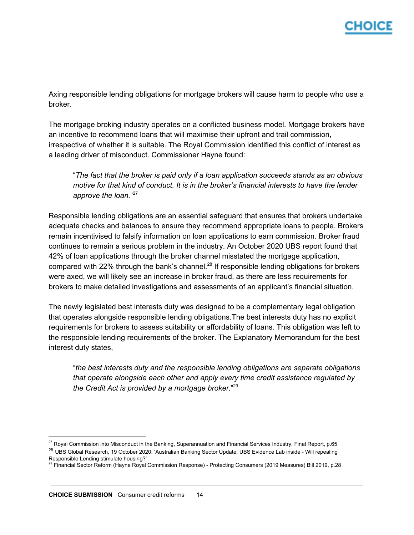Axing responsible lending obligations for mortgage brokers will cause harm to people who use a broker.

The mortgage broking industry operates on a conflicted business model. Mortgage brokers have an incentive to recommend loans that will maximise their upfront and trail commission, irrespective of whether it is suitable. The Royal Commission identified this conflict of interest as a leading driver of misconduct. Commissioner Hayne found:

"*The fact that the broker is paid only if a loan application succeeds stands as an obvious motive for that kind of conduct. It is in the broker's financial interests to have the lender approve the loan.*" 27

Responsible lending obligations are an essential safeguard that ensures that brokers undertake adequate checks and balances to ensure they recommend appropriate loans to people. Brokers remain incentivised to falsify information on loan applications to earn commission. Broker fraud continues to remain a serious problem in the industry. An October 2020 UBS report found that 42% of loan applications through the broker channel misstated the mortgage application, compared with 22% through the bank's channel.<sup>28</sup> If responsible lending obligations for brokers were axed, we will likely see an increase in broker fraud, as there are less requirements for brokers to make detailed investigations and assessments of an applicant's financial situation.

The newly legislated best interests duty was designed to be a complementary legal obligation that operates alongside responsible lending obligations.The best interests duty has no explicit requirements for brokers to assess suitability or affordability of loans. This obligation was left to the responsible lending requirements of the broker. The Explanatory Memorandum for the best interest duty states,

"*the best interests duty and the responsible lending obligations are separate obligations that operate alongside each other and apply every time credit assistance regulated by the Credit Act is provided by a mortgage broker.*" 29

 $27$  Royal Commission into Misconduct in the Banking, Superannuation and Financial Services Industry, Final Report, p.65 <sup>28</sup> UBS Global Research, 19 October 2020, 'Australian Banking Sector Update: UBS Evidence Lab inside - Will repealing Responsible Lending stimulate housing?'

<sup>&</sup>lt;sup>29</sup> Financial Sector Reform (Hayne Royal Commission Response) - Protecting Consumers (2019 Measures) Bill 2019, p.28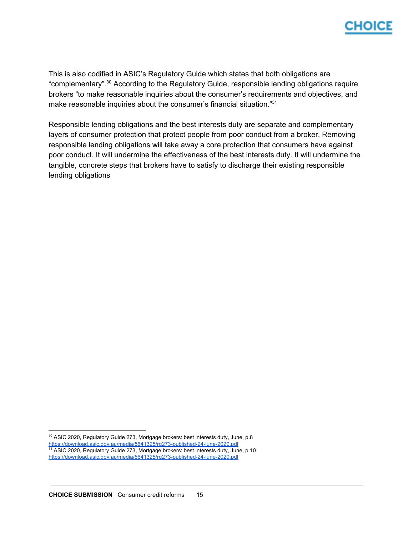This is also codified in ASIC's Regulatory Guide which states that both obligations are "complementary".<sup>30</sup> According to the Regulatory Guide, responsible lending obligations require brokers "to make reasonable inquiries about the consumer's requirements and objectives, and make reasonable inquiries about the consumer's financial situation."<sup>31</sup>

Responsible lending obligations and the best interests duty are separate and complementary layers of consumer protection that protect people from poor conduct from a broker. Removing responsible lending obligations will take away a core protection that consumers have against poor conduct. It will undermine the effectiveness of the best interests duty. It will undermine the tangible, concrete steps that brokers have to satisfy to discharge their existing responsible lending obligations

<sup>&</sup>lt;sup>30</sup> ASIC 2020, Regulatory Guide 273, Mortgage brokers: best interests duty, June, p.8 <https://download.asic.gov.au/media/5641325/rg273-published-24-june-2020.pdf>

<sup>&</sup>lt;sup>31</sup> ASIC 2020, Regulatory Guide 273, Mortgage brokers: best interests duty, June, p.10

<https://download.asic.gov.au/media/5641325/rg273-published-24-june-2020.pdf>